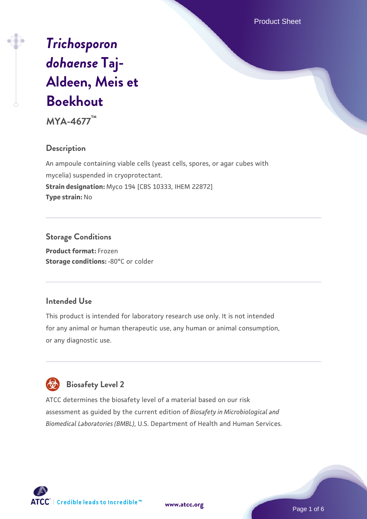Product Sheet

# *[Trichosporon](https://www.atcc.org/products/mya-4677) [dohaense](https://www.atcc.org/products/mya-4677)* **[Taj-](https://www.atcc.org/products/mya-4677)[Aldeen, Meis et](https://www.atcc.org/products/mya-4677) [Boekhout](https://www.atcc.org/products/mya-4677)**

**MYA-4677™**

# **Description**

An ampoule containing viable cells (yeast cells, spores, or agar cubes with mycelia) suspended in cryoprotectant. **Strain designation:** Myco 194 [CBS 10333, IHEM 22872] **Type strain:** No

# **Storage Conditions**

**Product format:** Frozen **Storage conditions: -80°C or colder** 

# **Intended Use**

This product is intended for laboratory research use only. It is not intended for any animal or human therapeutic use, any human or animal consumption, or any diagnostic use.

# **Biosafety Level 2**

ATCC determines the biosafety level of a material based on our risk assessment as guided by the current edition of *Biosafety in Microbiological and Biomedical Laboratories (BMBL)*, U.S. Department of Health and Human Services.

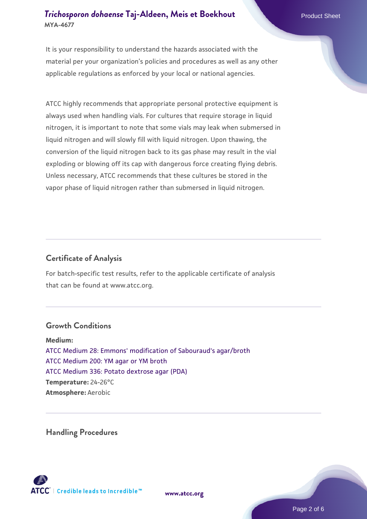It is your responsibility to understand the hazards associated with the material per your organization's policies and procedures as well as any other applicable regulations as enforced by your local or national agencies.

ATCC highly recommends that appropriate personal protective equipment is always used when handling vials. For cultures that require storage in liquid nitrogen, it is important to note that some vials may leak when submersed in liquid nitrogen and will slowly fill with liquid nitrogen. Upon thawing, the conversion of the liquid nitrogen back to its gas phase may result in the vial exploding or blowing off its cap with dangerous force creating flying debris. Unless necessary, ATCC recommends that these cultures be stored in the vapor phase of liquid nitrogen rather than submersed in liquid nitrogen.

# **Certificate of Analysis**

For batch-specific test results, refer to the applicable certificate of analysis that can be found at www.atcc.org.

#### **Growth Conditions**

**Medium:**  [ATCC Medium 28: Emmons' modification of Sabouraud's agar/broth](https://www.atcc.org/-/media/product-assets/documents/microbial-media-formulations/2/8/atcc-medium-28.pdf?rev=0da0c58cc2a343eeae735016b70809bb) [ATCC Medium 200: YM agar or YM broth](https://www.atcc.org/-/media/product-assets/documents/microbial-media-formulations/2/0/0/atcc-medium-200.pdf?rev=ac40fd74dc13433a809367b0b9da30fc) [ATCC Medium 336: Potato dextrose agar \(PDA\)](https://www.atcc.org/-/media/product-assets/documents/microbial-media-formulations/3/3/6/atcc-medium-336.pdf?rev=d9160ad44d934cd8b65175461abbf3b9) **Temperature:** 24-26°C **Atmosphere:** Aerobic

**Handling Procedures**



**[www.atcc.org](http://www.atcc.org)**

Page 2 of 6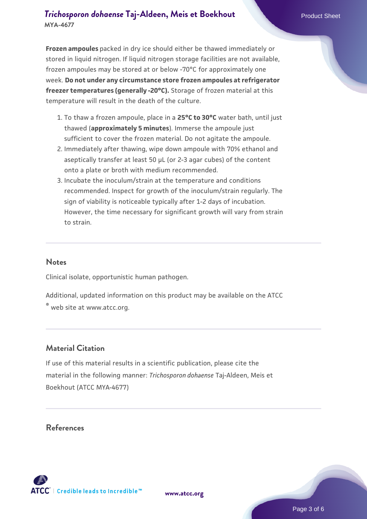**Frozen ampoules** packed in dry ice should either be thawed immediately or stored in liquid nitrogen. If liquid nitrogen storage facilities are not available, frozen ampoules may be stored at or below -70°C for approximately one week. **Do not under any circumstance store frozen ampoules at refrigerator freezer temperatures (generally -20°C).** Storage of frozen material at this temperature will result in the death of the culture.

- 1. To thaw a frozen ampoule, place in a **25°C to 30°C** water bath, until just thawed (**approximately 5 minutes**). Immerse the ampoule just sufficient to cover the frozen material. Do not agitate the ampoule.
- 2. Immediately after thawing, wipe down ampoule with 70% ethanol and aseptically transfer at least 50 µL (or 2-3 agar cubes) of the content onto a plate or broth with medium recommended.
- Incubate the inoculum/strain at the temperature and conditions 3. recommended. Inspect for growth of the inoculum/strain regularly. The sign of viability is noticeable typically after 1-2 days of incubation. However, the time necessary for significant growth will vary from strain to strain.

#### **Notes**

Clinical isolate, opportunistic human pathogen.

Additional, updated information on this product may be available on the ATCC

® web site at www.atcc.org.

#### **Material Citation**

If use of this material results in a scientific publication, please cite the material in the following manner: *Trichosporon dohaense* Taj-Aldeen, Meis et Boekhout (ATCC MYA-4677)

#### **References**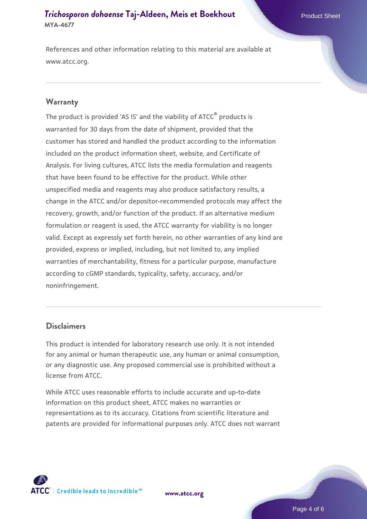References and other information relating to this material are available at www.atcc.org.

#### **Warranty**

The product is provided 'AS IS' and the viability of ATCC® products is warranted for 30 days from the date of shipment, provided that the customer has stored and handled the product according to the information included on the product information sheet, website, and Certificate of Analysis. For living cultures, ATCC lists the media formulation and reagents that have been found to be effective for the product. While other unspecified media and reagents may also produce satisfactory results, a change in the ATCC and/or depositor-recommended protocols may affect the recovery, growth, and/or function of the product. If an alternative medium formulation or reagent is used, the ATCC warranty for viability is no longer valid. Except as expressly set forth herein, no other warranties of any kind are provided, express or implied, including, but not limited to, any implied warranties of merchantability, fitness for a particular purpose, manufacture according to cGMP standards, typicality, safety, accuracy, and/or noninfringement.

#### **Disclaimers**

This product is intended for laboratory research use only. It is not intended for any animal or human therapeutic use, any human or animal consumption, or any diagnostic use. Any proposed commercial use is prohibited without a license from ATCC.

While ATCC uses reasonable efforts to include accurate and up-to-date information on this product sheet, ATCC makes no warranties or representations as to its accuracy. Citations from scientific literature and patents are provided for informational purposes only. ATCC does not warrant



**[www.atcc.org](http://www.atcc.org)**

Page 4 of 6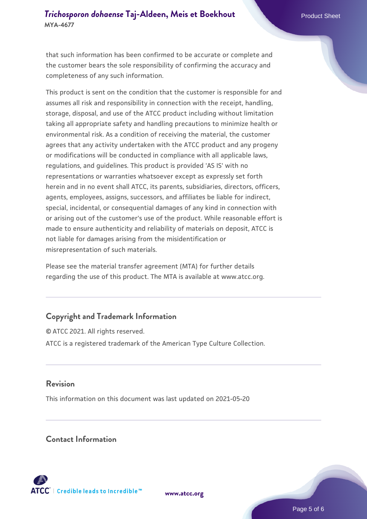that such information has been confirmed to be accurate or complete and the customer bears the sole responsibility of confirming the accuracy and completeness of any such information.

This product is sent on the condition that the customer is responsible for and assumes all risk and responsibility in connection with the receipt, handling, storage, disposal, and use of the ATCC product including without limitation taking all appropriate safety and handling precautions to minimize health or environmental risk. As a condition of receiving the material, the customer agrees that any activity undertaken with the ATCC product and any progeny or modifications will be conducted in compliance with all applicable laws, regulations, and guidelines. This product is provided 'AS IS' with no representations or warranties whatsoever except as expressly set forth herein and in no event shall ATCC, its parents, subsidiaries, directors, officers, agents, employees, assigns, successors, and affiliates be liable for indirect, special, incidental, or consequential damages of any kind in connection with or arising out of the customer's use of the product. While reasonable effort is made to ensure authenticity and reliability of materials on deposit, ATCC is not liable for damages arising from the misidentification or misrepresentation of such materials.

Please see the material transfer agreement (MTA) for further details regarding the use of this product. The MTA is available at www.atcc.org.

# **Copyright and Trademark Information**

© ATCC 2021. All rights reserved. ATCC is a registered trademark of the American Type Culture Collection.

#### **Revision**

This information on this document was last updated on 2021-05-20

#### **Contact Information**



**[www.atcc.org](http://www.atcc.org)**